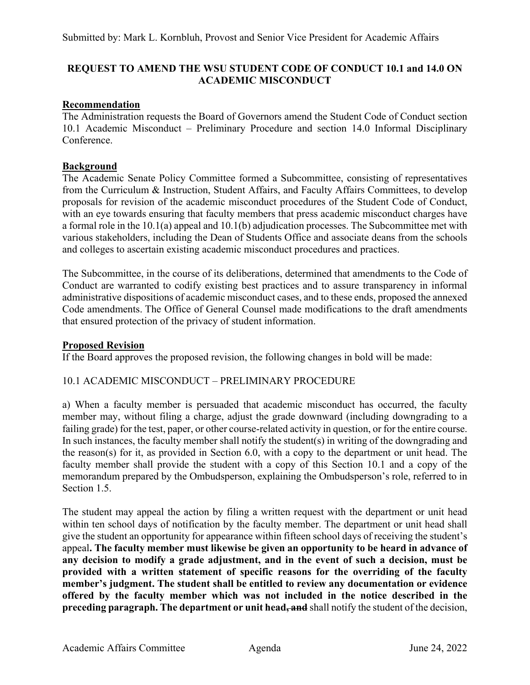# **REQUEST TO AMEND THE WSU STUDENT CODE OF CONDUCT 10.1 and 14.0 ON ACADEMIC MISCONDUCT**

# **Recommendation**

The Administration requests the Board of Governors amend the Student Code of Conduct section 10.1 Academic Misconduct – Preliminary Procedure and section 14.0 Informal Disciplinary Conference.

# **Background**

The Academic Senate Policy Committee formed a Subcommittee, consisting of representatives from the Curriculum & Instruction, Student Affairs, and Faculty Affairs Committees, to develop proposals for revision of the academic misconduct procedures of the Student Code of Conduct, with an eye towards ensuring that faculty members that press academic misconduct charges have a formal role in the 10.1(a) appeal and 10.1(b) adjudication processes. The Subcommittee met with various stakeholders, including the Dean of Students Office and associate deans from the schools and colleges to ascertain existing academic misconduct procedures and practices.

The Subcommittee, in the course of its deliberations, determined that amendments to the Code of Conduct are warranted to codify existing best practices and to assure transparency in informal administrative dispositions of academic misconduct cases, and to these ends, proposed the annexed Code amendments. The Office of General Counsel made modifications to the draft amendments that ensured protection of the privacy of student information.

#### **Proposed Revision**

If the Board approves the proposed revision, the following changes in bold will be made:

#### 10.1 ACADEMIC MISCONDUCT – PRELIMINARY PROCEDURE

a) When a faculty member is persuaded that academic misconduct has occurred, the faculty member may, without filing a charge, adjust the grade downward (including downgrading to a failing grade) for the test, paper, or other course-related activity in question, or for the entire course. In such instances, the faculty member shall notify the student(s) in writing of the downgrading and the reason(s) for it, as provided in Section 6.0, with a copy to the department or unit head. The faculty member shall provide the student with a copy of this Section 10.1 and a copy of the memorandum prepared by the Ombudsperson, explaining the Ombudsperson's role, referred to in Section 1.5.

The student may appeal the action by filing a written request with the department or unit head within ten school days of notification by the faculty member. The department or unit head shall give the student an opportunity for appearance within fifteen school days of receiving the student's appeal**. The faculty member must likewise be given an opportunity to be heard in advance of any decision to modify a grade adjustment, and in the event of such a decision, must be provided with a written statement of specific reasons for the overriding of the faculty member's judgment. The student shall be entitled to review any documentation or evidence offered by the faculty member which was not included in the notice described in the preceding paragraph. The department or unit head, and** shall notify the student of the decision,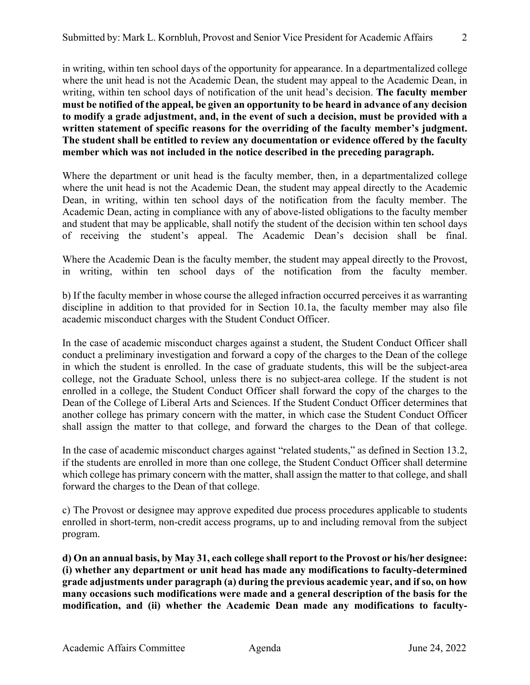in writing, within ten school days of the opportunity for appearance. In a departmentalized college where the unit head is not the Academic Dean, the student may appeal to the Academic Dean, in writing, within ten school days of notification of the unit head's decision. **The faculty member must be notified of the appeal, be given an opportunity to be heard in advance of any decision to modify a grade adjustment, and, in the event of such a decision, must be provided with a written statement of specific reasons for the overriding of the faculty member's judgment. The student shall be entitled to review any documentation or evidence offered by the faculty member which was not included in the notice described in the preceding paragraph.**

Where the department or unit head is the faculty member, then, in a departmentalized college where the unit head is not the Academic Dean, the student may appeal directly to the Academic Dean, in writing, within ten school days of the notification from the faculty member. The Academic Dean, acting in compliance with any of above-listed obligations to the faculty member and student that may be applicable, shall notify the student of the decision within ten school days of receiving the student's appeal. The Academic Dean's decision shall be final.

Where the Academic Dean is the faculty member, the student may appeal directly to the Provost, in writing, within ten school days of the notification from the faculty member.

b) If the faculty member in whose course the alleged infraction occurred perceives it as warranting discipline in addition to that provided for in Section 10.1a, the faculty member may also file academic misconduct charges with the Student Conduct Officer.

In the case of academic misconduct charges against a student, the Student Conduct Officer shall conduct a preliminary investigation and forward a copy of the charges to the Dean of the college in which the student is enrolled. In the case of graduate students, this will be the subject-area college, not the Graduate School, unless there is no subject-area college. If the student is not enrolled in a college, the Student Conduct Officer shall forward the copy of the charges to the Dean of the College of Liberal Arts and Sciences. If the Student Conduct Officer determines that another college has primary concern with the matter, in which case the Student Conduct Officer shall assign the matter to that college, and forward the charges to the Dean of that college.

In the case of academic misconduct charges against "related students," as defined in Section 13.2, if the students are enrolled in more than one college, the Student Conduct Officer shall determine which college has primary concern with the matter, shall assign the matter to that college, and shall forward the charges to the Dean of that college.

c) The Provost or designee may approve expedited due process procedures applicable to students enrolled in short-term, non-credit access programs, up to and including removal from the subject program.

**d) On an annual basis, by May 31, each college shall report to the Provost or his/her designee: (i) whether any department or unit head has made any modifications to faculty-determined grade adjustments under paragraph (a) during the previous academic year, and if so, on how many occasions such modifications were made and a general description of the basis for the modification, and (ii) whether the Academic Dean made any modifications to faculty-**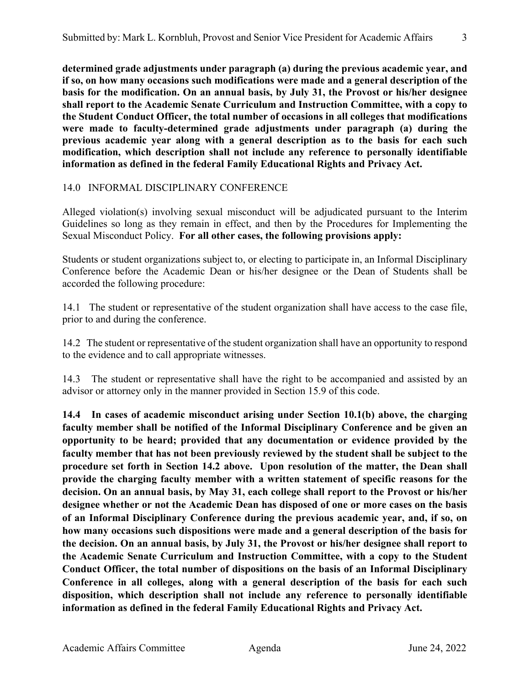**determined grade adjustments under paragraph (a) during the previous academic year, and if so, on how many occasions such modifications were made and a general description of the basis for the modification. On an annual basis, by July 31, the Provost or his/her designee shall report to the Academic Senate Curriculum and Instruction Committee, with a copy to the Student Conduct Officer, the total number of occasions in all colleges that modifications were made to faculty-determined grade adjustments under paragraph (a) during the previous academic year along with a general description as to the basis for each such modification, which description shall not include any reference to personally identifiable information as defined in the federal Family Educational Rights and Privacy Act.**

# 14.0 INFORMAL DISCIPLINARY CONFERENCE

Alleged violation(s) involving sexual misconduct will be adjudicated pursuant to the Interim Guidelines so long as they remain in effect, and then by the Procedures for Implementing the Sexual Misconduct Policy. **For all other cases, the following provisions apply:**

Students or student organizations subject to, or electing to participate in, an Informal Disciplinary Conference before the Academic Dean or his/her designee or the Dean of Students shall be accorded the following procedure:

14.1 The student or representative of the student organization shall have access to the case file, prior to and during the conference.

14.2 The student or representative of the student organization shall have an opportunity to respond to the evidence and to call appropriate witnesses.

14.3 The student or representative shall have the right to be accompanied and assisted by an advisor or attorney only in the manner provided in Section 15.9 of this code.

**14.4 In cases of academic misconduct arising under Section 10.1(b) above, the charging faculty member shall be notified of the Informal Disciplinary Conference and be given an opportunity to be heard; provided that any documentation or evidence provided by the faculty member that has not been previously reviewed by the student shall be subject to the procedure set forth in Section 14.2 above. Upon resolution of the matter, the Dean shall provide the charging faculty member with a written statement of specific reasons for the decision. On an annual basis, by May 31, each college shall report to the Provost or his/her designee whether or not the Academic Dean has disposed of one or more cases on the basis of an Informal Disciplinary Conference during the previous academic year, and, if so, on how many occasions such dispositions were made and a general description of the basis for the decision. On an annual basis, by July 31, the Provost or his/her designee shall report to the Academic Senate Curriculum and Instruction Committee, with a copy to the Student Conduct Officer, the total number of dispositions on the basis of an Informal Disciplinary Conference in all colleges, along with a general description of the basis for each such disposition, which description shall not include any reference to personally identifiable information as defined in the federal Family Educational Rights and Privacy Act.**